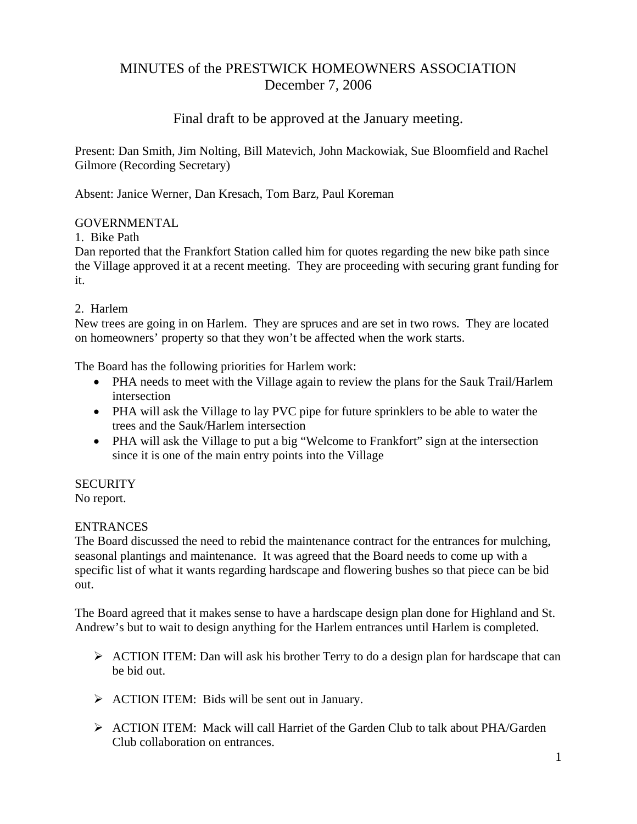# MINUTES of the PRESTWICK HOMEOWNERS ASSOCIATION December 7, 2006

# Final draft to be approved at the January meeting.

Present: Dan Smith, Jim Nolting, Bill Matevich, John Mackowiak, Sue Bloomfield and Rachel Gilmore (Recording Secretary)

Absent: Janice Werner, Dan Kresach, Tom Barz, Paul Koreman

## GOVERNMENTAL

## 1. Bike Path

Dan reported that the Frankfort Station called him for quotes regarding the new bike path since the Village approved it at a recent meeting. They are proceeding with securing grant funding for it.

## 2. Harlem

New trees are going in on Harlem. They are spruces and are set in two rows. They are located on homeowners' property so that they won't be affected when the work starts.

The Board has the following priorities for Harlem work:

- PHA needs to meet with the Village again to review the plans for the Sauk Trail/Harlem intersection
- PHA will ask the Village to lay PVC pipe for future sprinklers to be able to water the trees and the Sauk/Harlem intersection
- PHA will ask the Village to put a big "Welcome to Frankfort" sign at the intersection since it is one of the main entry points into the Village

# **SECURITY**

No report.

# ENTRANCES

The Board discussed the need to rebid the maintenance contract for the entrances for mulching, seasonal plantings and maintenance. It was agreed that the Board needs to come up with a specific list of what it wants regarding hardscape and flowering bushes so that piece can be bid out.

The Board agreed that it makes sense to have a hardscape design plan done for Highland and St. Andrew's but to wait to design anything for the Harlem entrances until Harlem is completed.

- $\triangleright$  ACTION ITEM: Dan will ask his brother Terry to do a design plan for hardscape that can be bid out.
- ¾ ACTION ITEM: Bids will be sent out in January.
- $\triangleright$  ACTION ITEM: Mack will call Harriet of the Garden Club to talk about PHA/Garden Club collaboration on entrances.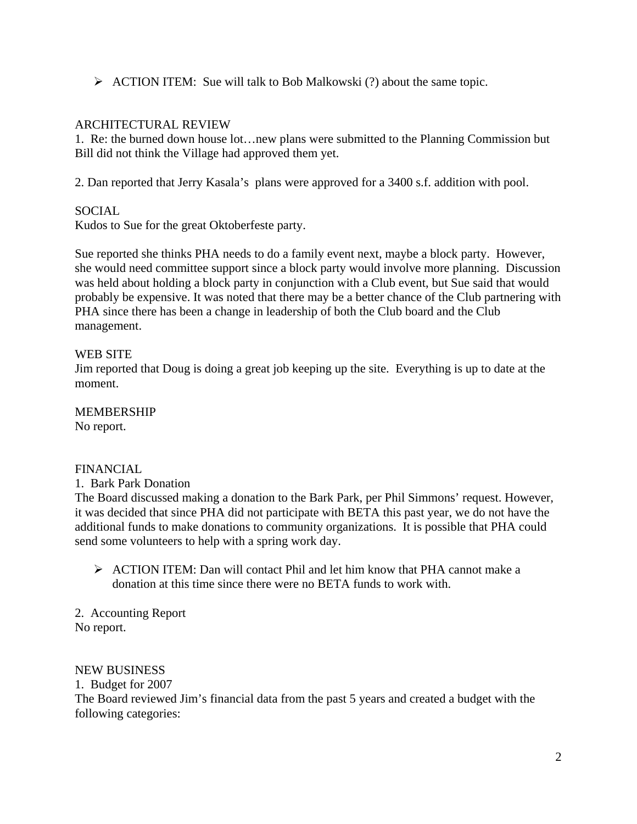$\triangleright$  ACTION ITEM: Sue will talk to Bob Malkowski (?) about the same topic.

# ARCHITECTURAL REVIEW

1. Re: the burned down house lot…new plans were submitted to the Planning Commission but Bill did not think the Village had approved them yet.

2. Dan reported that Jerry Kasala's plans were approved for a 3400 s.f. addition with pool.

# **SOCIAL**

Kudos to Sue for the great Oktoberfeste party.

Sue reported she thinks PHA needs to do a family event next, maybe a block party. However, she would need committee support since a block party would involve more planning. Discussion was held about holding a block party in conjunction with a Club event, but Sue said that would probably be expensive. It was noted that there may be a better chance of the Club partnering with PHA since there has been a change in leadership of both the Club board and the Club management.

## WEB SITE

Jim reported that Doug is doing a great job keeping up the site. Everything is up to date at the moment.

#### MEMBERSHIP

No report.

# FINANCIAL

1. Bark Park Donation

The Board discussed making a donation to the Bark Park, per Phil Simmons' request. However, it was decided that since PHA did not participate with BETA this past year, we do not have the additional funds to make donations to community organizations. It is possible that PHA could send some volunteers to help with a spring work day.

 $\triangleright$  ACTION ITEM: Dan will contact Phil and let him know that PHA cannot make a donation at this time since there were no BETA funds to work with.

2. Accounting Report No report.

#### NEW BUSINESS

1. Budget for 2007 The Board reviewed Jim's financial data from the past 5 years and created a budget with the following categories: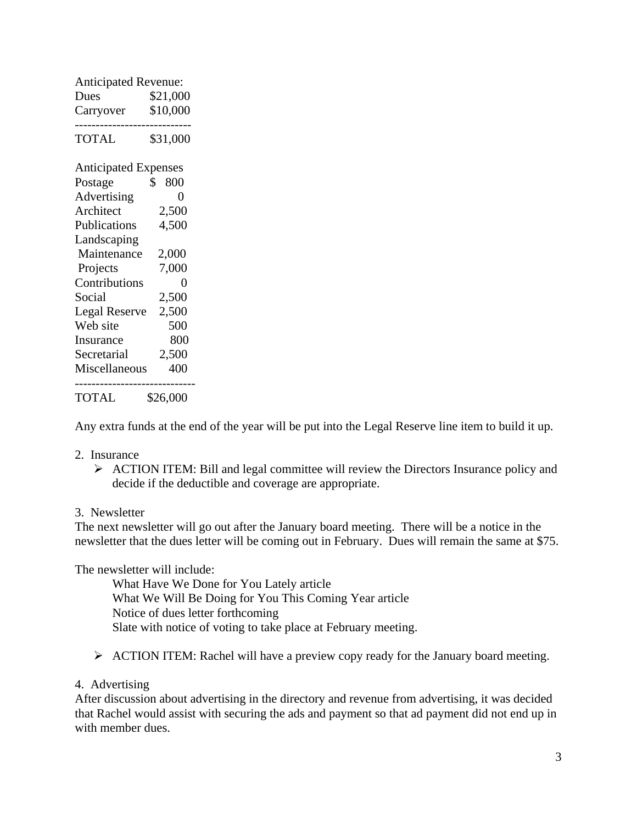| <b>Anticipated Revenue:</b> |           |
|-----------------------------|-----------|
| Dues                        | \$21,000  |
| Carryover                   | \$10,000  |
| <b>TOTAL</b>                | \$31,000  |
| <b>Anticipated Expenses</b> |           |
| Postage                     | 800<br>\$ |
| Advertising                 | 0         |
| Architect                   | 2,500     |
| Publications                | 4,500     |
| Landscaping                 |           |
| Maintenance                 | 2,000     |
| Projects                    | 7,000     |
| Contributions               | 0         |
| Social                      | 2,500     |
| <b>Legal Reserve</b>        | 2,500     |
| Web site                    | 500       |
| Insurance                   | 800       |
| Secretarial                 | 2,500     |
| Miscellaneous               | 400       |
| TOTAL                       | \$26,000  |

Any extra funds at the end of the year will be put into the Legal Reserve line item to build it up.

#### 2. Insurance

 $\triangleright$  ACTION ITEM: Bill and legal committee will review the Directors Insurance policy and decide if the deductible and coverage are appropriate.

#### 3. Newsletter

The next newsletter will go out after the January board meeting. There will be a notice in the newsletter that the dues letter will be coming out in February. Dues will remain the same at \$75.

The newsletter will include:

 What Have We Done for You Lately article What We Will Be Doing for You This Coming Year article Notice of dues letter forthcoming Slate with notice of voting to take place at February meeting.

¾ ACTION ITEM: Rachel will have a preview copy ready for the January board meeting.

## 4. Advertising

After discussion about advertising in the directory and revenue from advertising, it was decided that Rachel would assist with securing the ads and payment so that ad payment did not end up in with member dues.